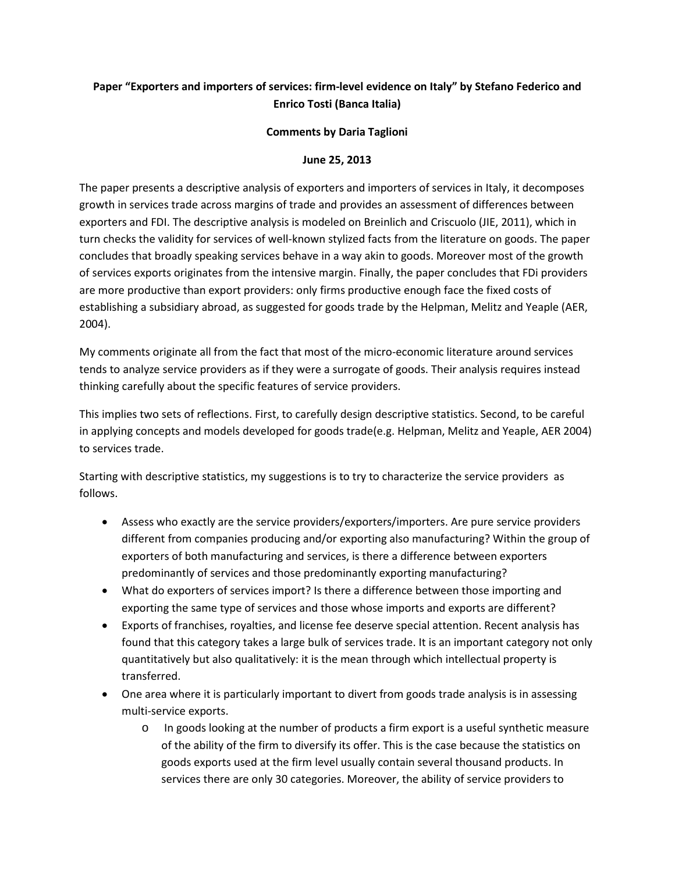## **Paper "Exporters and importers of services: firm-level evidence on Italy" by Stefano Federico and Enrico Tosti (Banca Italia)**

## **Comments by Daria Taglioni**

## **June 25, 2013**

The paper presents a descriptive analysis of exporters and importers of services in Italy, it decomposes growth in services trade across margins of trade and provides an assessment of differences between exporters and FDI. The descriptive analysis is modeled on Breinlich and Criscuolo (JIE, 2011), which in turn checks the validity for services of well-known stylized facts from the literature on goods. The paper concludes that broadly speaking services behave in a way akin to goods. Moreover most of the growth of services exports originates from the intensive margin. Finally, the paper concludes that FDi providers are more productive than export providers: only firms productive enough face the fixed costs of establishing a subsidiary abroad, as suggested for goods trade by the Helpman, Melitz and Yeaple (AER, 2004).

My comments originate all from the fact that most of the micro-economic literature around services tends to analyze service providers as if they were a surrogate of goods. Their analysis requires instead thinking carefully about the specific features of service providers.

This implies two sets of reflections. First, to carefully design descriptive statistics. Second, to be careful in applying concepts and models developed for goods trade(e.g. Helpman, Melitz and Yeaple, AER 2004) to services trade.

Starting with descriptive statistics, my suggestions is to try to characterize the service providers as follows.

- Assess who exactly are the service providers/exporters/importers. Are pure service providers different from companies producing and/or exporting also manufacturing? Within the group of exporters of both manufacturing and services, is there a difference between exporters predominantly of services and those predominantly exporting manufacturing?
- What do exporters of services import? Is there a difference between those importing and exporting the same type of services and those whose imports and exports are different?
- Exports of franchises, royalties, and license fee deserve special attention. Recent analysis has found that this category takes a large bulk of services trade. It is an important category not only quantitatively but also qualitatively: it is the mean through which intellectual property is transferred.
- One area where it is particularly important to divert from goods trade analysis is in assessing multi-service exports.
	- o In goods looking at the number of products a firm export is a useful synthetic measure of the ability of the firm to diversify its offer. This is the case because the statistics on goods exports used at the firm level usually contain several thousand products. In services there are only 30 categories. Moreover, the ability of service providers to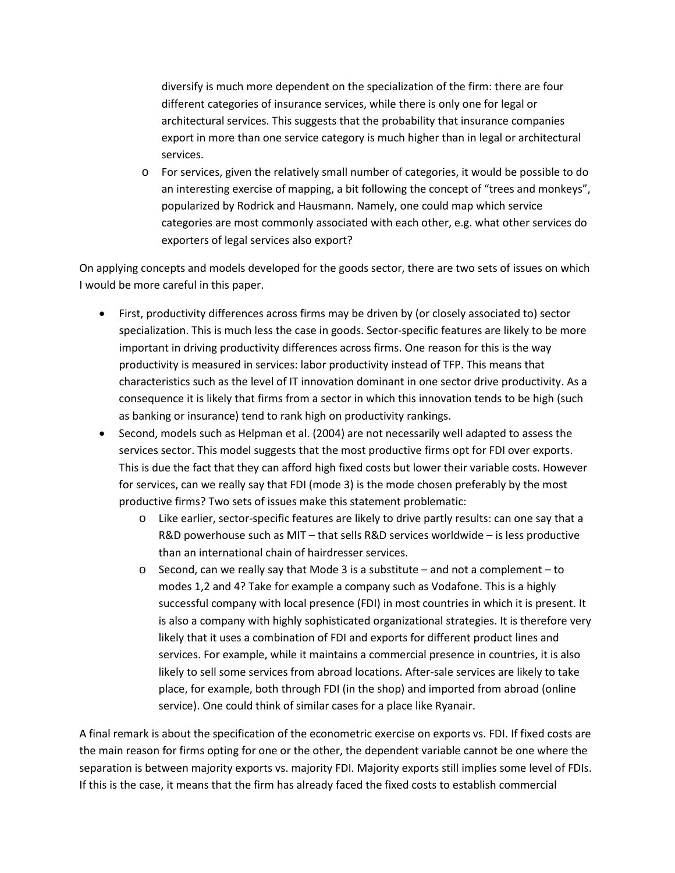diversify is much more dependent on the specialization of the firm: there are four different categories of insurance services, while there is only one for legal or architectural services. This suggests that the probability that insurance companies export in more than one service category is much higher than in legal or architectural services.

o For services, given the relatively small number of categories, it would be possible to do an interesting exercise of mapping, a bit following the concept of "trees and monkeys", popularized by Rodrick and Hausmann. Namely, one could map which service categories are most commonly associated with each other, e.g. what other services do exporters of legal services also export?

On applying concepts and models developed for the goods sector, there are two sets of issues on which I would be more careful in this paper.

- First, productivity differences across firms may be driven by (or closely associated to) sector specialization. This is much less the case in goods. Sector-specific features are likely to be more important in driving productivity differences across firms. One reason for this is the way productivity is measured in services: labor productivity instead of TFP. This means that characteristics such as the level of IT innovation dominant in one sector drive productivity. As a consequence it is likely that firms from a sector in which this innovation tends to be high (such as banking or insurance) tend to rank high on productivity rankings.
- Second, models such as Helpman et al. (2004) are not necessarily well adapted to assess the services sector. This model suggests that the most productive firms opt for FDI over exports. This is due the fact that they can afford high fixed costs but lower their variable costs. However for services, can we really say that FDI (mode 3) is the mode chosen preferably by the most productive firms? Two sets of issues make this statement problematic:
	- o Like earlier, sector-specific features are likely to drive partly results: can one say that a R&D powerhouse such as MIT – that sells R&D services worldwide – is less productive than an international chain of hairdresser services.
	- $\circ$  Second, can we really say that Mode 3 is a substitute and not a complement to modes 1,2 and 4? Take for example a company such as Vodafone. This is a highly successful company with local presence (FDI) in most countries in which it is present. It is also a company with highly sophisticated organizational strategies. It is therefore very likely that it uses a combination of FDI and exports for different product lines and services. For example, while it maintains a commercial presence in countries, it is also likely to sell some services from abroad locations. After-sale services are likely to take place, for example, both through FDI (in the shop) and imported from abroad (online service). One could think of similar cases for a place like Ryanair.

A final remark is about the specification of the econometric exercise on exports vs. FDI. If fixed costs are the main reason for firms opting for one or the other, the dependent variable cannot be one where the separation is between majority exports vs. majority FDI. Majority exports still implies some level of FDIs. If this is the case, it means that the firm has already faced the fixed costs to establish commercial